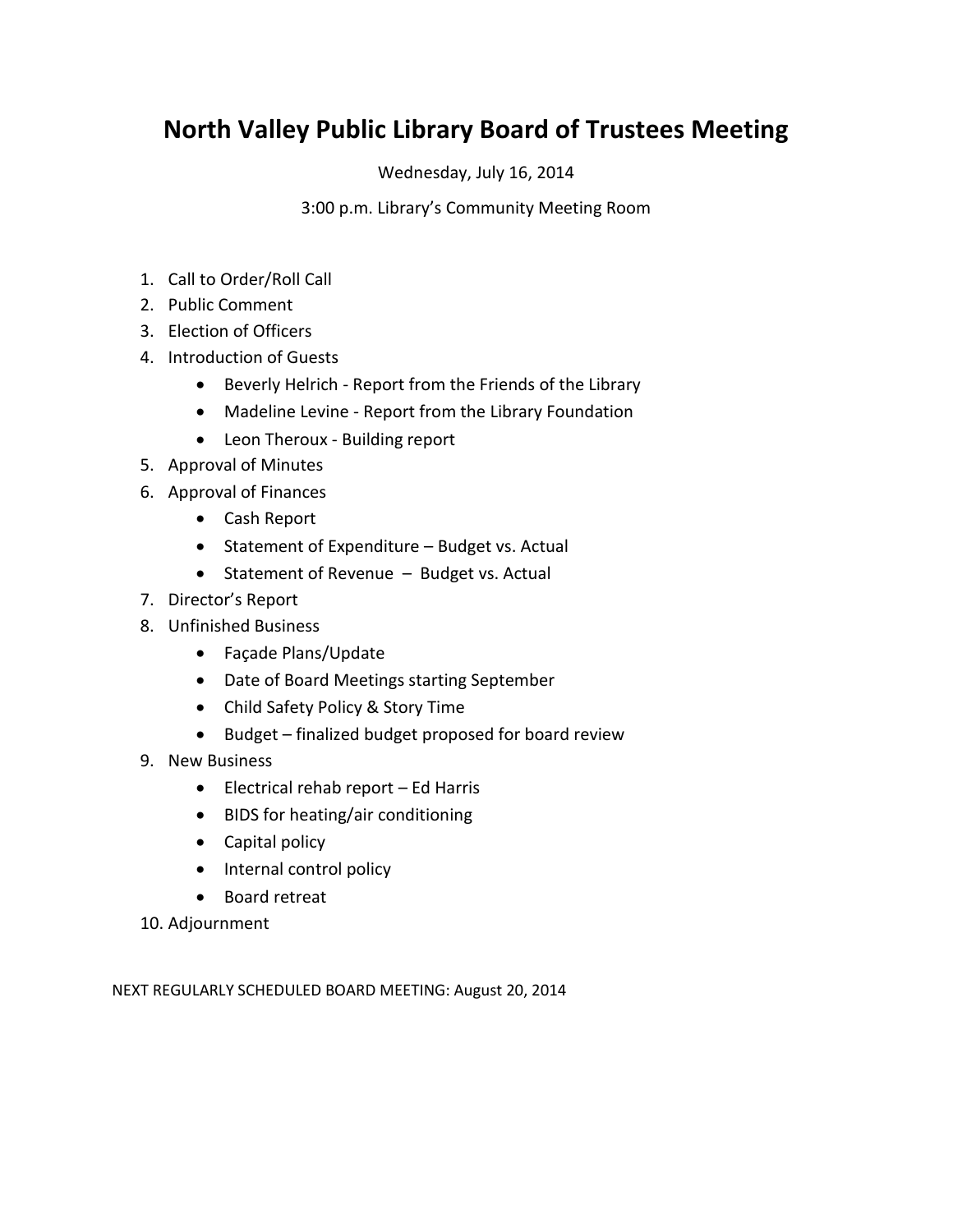## **North Valley Public Library Board of Trustees Meeting**

Wednesday, July 16, 2014

3:00 p.m. Library's Community Meeting Room

- 1. Call to Order/Roll Call
- 2. Public Comment
- 3. Election of Officers
- 4. Introduction of Guests
	- Beverly Helrich Report from the Friends of the Library
	- Madeline Levine Report from the Library Foundation
	- Leon Theroux Building report
- 5. Approval of Minutes
- 6. Approval of Finances
	- Cash Report
	- Statement of Expenditure Budget vs. Actual
	- Statement of Revenue Budget vs. Actual
- 7. Director's Report
- 8. Unfinished Business
	- Façade Plans/Update
	- Date of Board Meetings starting September
	- Child Safety Policy & Story Time
	- Budget finalized budget proposed for board review
- 9. New Business
	- $\bullet$  Electrical rehab report Ed Harris
	- BIDS for heating/air conditioning
	- Capital policy
	- Internal control policy
	- Board retreat
- 10. Adjournment

NEXT REGULARLY SCHEDULED BOARD MEETING: August 20, 2014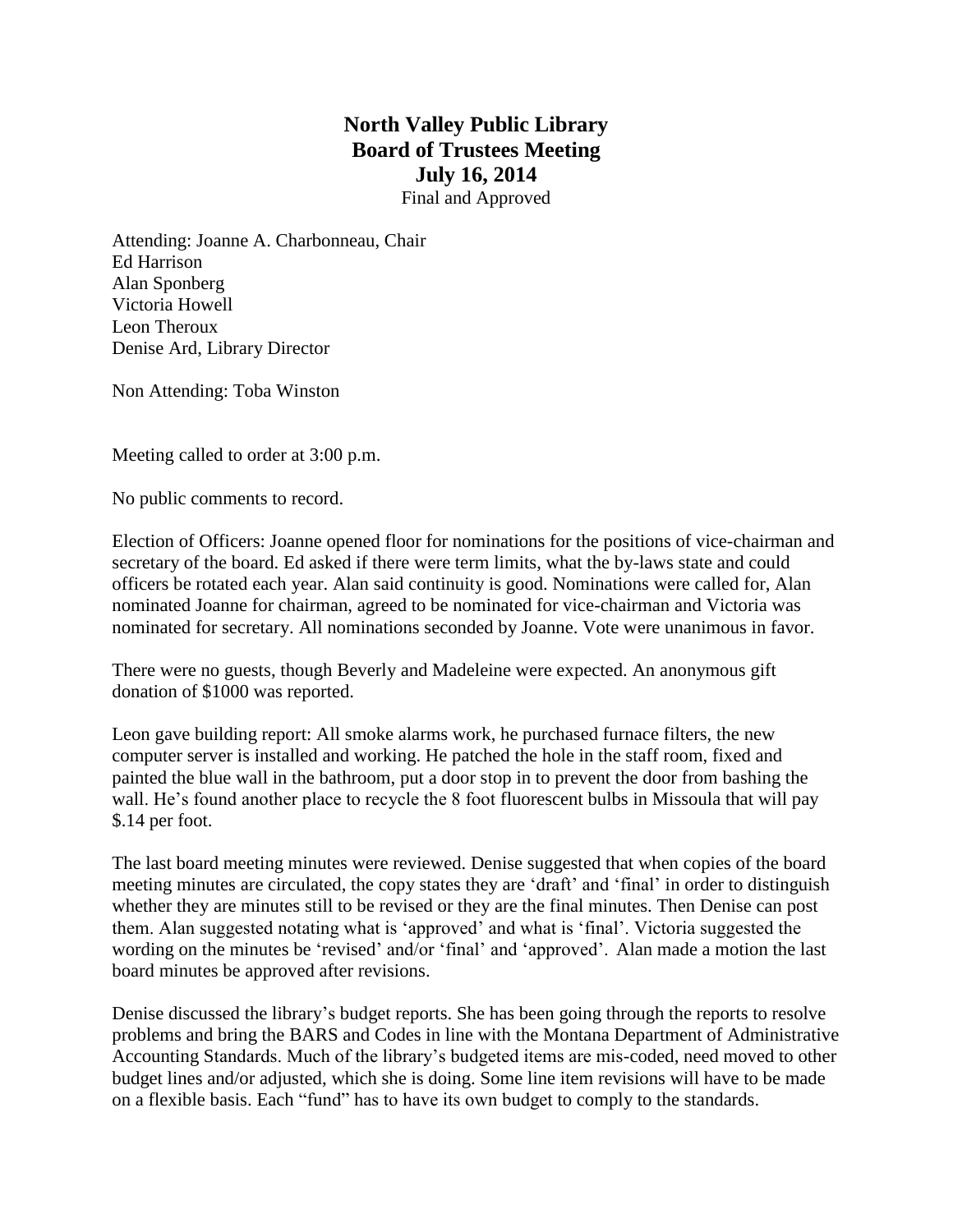## **North Valley Public Library Board of Trustees Meeting July 16, 2014**

Final and Approved

Attending: Joanne A. Charbonneau, Chair Ed Harrison Alan Sponberg Victoria Howell Leon Theroux Denise Ard, Library Director

Non Attending: Toba Winston

Meeting called to order at 3:00 p.m.

No public comments to record.

Election of Officers: Joanne opened floor for nominations for the positions of vice-chairman and secretary of the board. Ed asked if there were term limits, what the by-laws state and could officers be rotated each year. Alan said continuity is good. Nominations were called for, Alan nominated Joanne for chairman, agreed to be nominated for vice-chairman and Victoria was nominated for secretary. All nominations seconded by Joanne. Vote were unanimous in favor.

There were no guests, though Beverly and Madeleine were expected. An anonymous gift donation of \$1000 was reported.

Leon gave building report: All smoke alarms work, he purchased furnace filters, the new computer server is installed and working. He patched the hole in the staff room, fixed and painted the blue wall in the bathroom, put a door stop in to prevent the door from bashing the wall. He's found another place to recycle the 8 foot fluorescent bulbs in Missoula that will pay \$.14 per foot.

The last board meeting minutes were reviewed. Denise suggested that when copies of the board meeting minutes are circulated, the copy states they are 'draft' and 'final' in order to distinguish whether they are minutes still to be revised or they are the final minutes. Then Denise can post them. Alan suggested notating what is 'approved' and what is 'final'. Victoria suggested the wording on the minutes be 'revised' and/or 'final' and 'approved'. Alan made a motion the last board minutes be approved after revisions.

Denise discussed the library's budget reports. She has been going through the reports to resolve problems and bring the BARS and Codes in line with the Montana Department of Administrative Accounting Standards. Much of the library's budgeted items are mis-coded, need moved to other budget lines and/or adjusted, which she is doing. Some line item revisions will have to be made on a flexible basis. Each "fund" has to have its own budget to comply to the standards.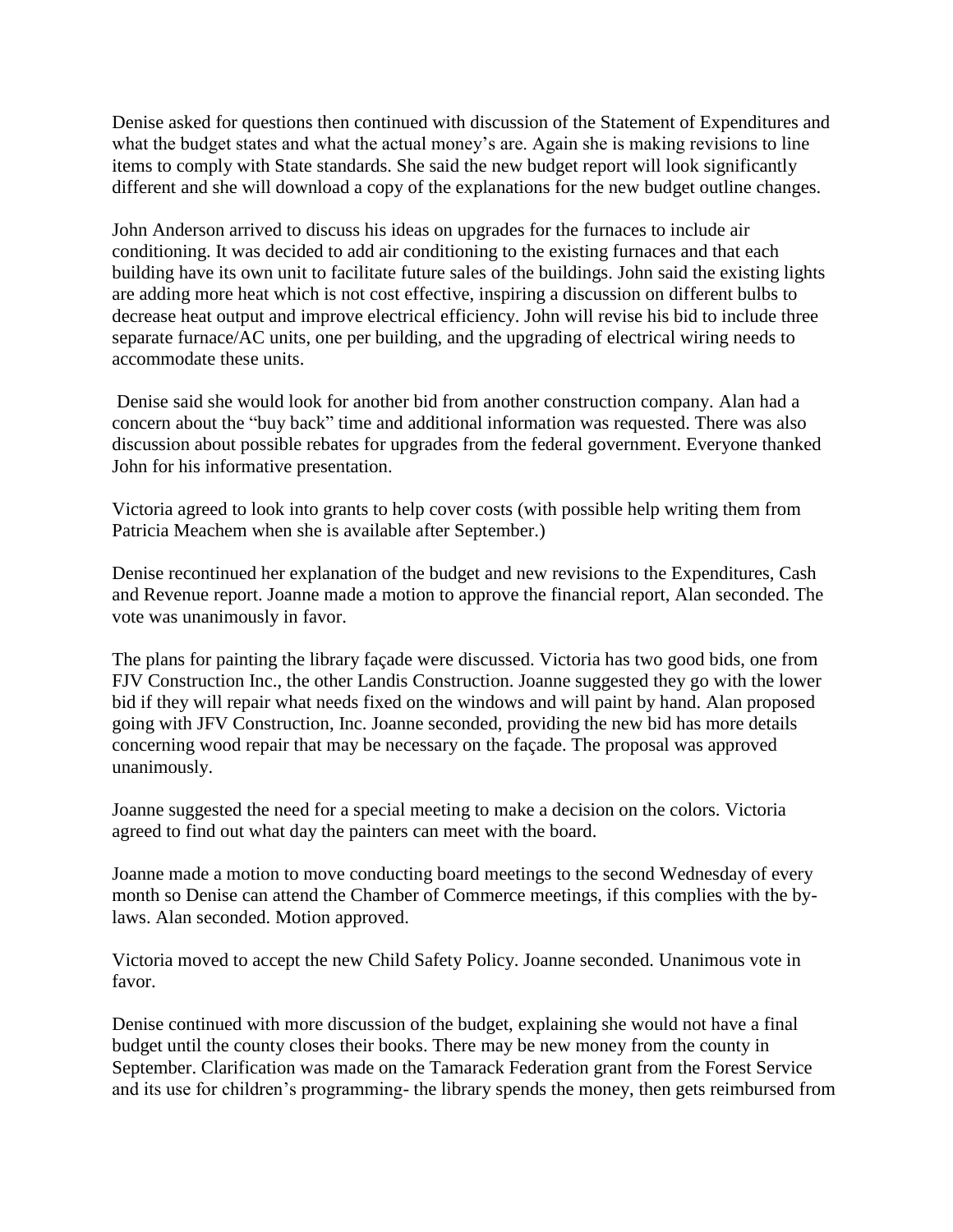Denise asked for questions then continued with discussion of the Statement of Expenditures and what the budget states and what the actual money's are. Again she is making revisions to line items to comply with State standards. She said the new budget report will look significantly different and she will download a copy of the explanations for the new budget outline changes.

John Anderson arrived to discuss his ideas on upgrades for the furnaces to include air conditioning. It was decided to add air conditioning to the existing furnaces and that each building have its own unit to facilitate future sales of the buildings. John said the existing lights are adding more heat which is not cost effective, inspiring a discussion on different bulbs to decrease heat output and improve electrical efficiency. John will revise his bid to include three separate furnace/AC units, one per building, and the upgrading of electrical wiring needs to accommodate these units.

Denise said she would look for another bid from another construction company. Alan had a concern about the "buy back" time and additional information was requested. There was also discussion about possible rebates for upgrades from the federal government. Everyone thanked John for his informative presentation.

Victoria agreed to look into grants to help cover costs (with possible help writing them from Patricia Meachem when she is available after September.)

Denise recontinued her explanation of the budget and new revisions to the Expenditures, Cash and Revenue report. Joanne made a motion to approve the financial report, Alan seconded. The vote was unanimously in favor.

The plans for painting the library façade were discussed. Victoria has two good bids, one from FJV Construction Inc., the other Landis Construction. Joanne suggested they go with the lower bid if they will repair what needs fixed on the windows and will paint by hand. Alan proposed going with JFV Construction, Inc. Joanne seconded, providing the new bid has more details concerning wood repair that may be necessary on the façade. The proposal was approved unanimously.

Joanne suggested the need for a special meeting to make a decision on the colors. Victoria agreed to find out what day the painters can meet with the board.

Joanne made a motion to move conducting board meetings to the second Wednesday of every month so Denise can attend the Chamber of Commerce meetings, if this complies with the bylaws. Alan seconded. Motion approved.

Victoria moved to accept the new Child Safety Policy. Joanne seconded. Unanimous vote in favor.

Denise continued with more discussion of the budget, explaining she would not have a final budget until the county closes their books. There may be new money from the county in September. Clarification was made on the Tamarack Federation grant from the Forest Service and its use for children's programming- the library spends the money, then gets reimbursed from